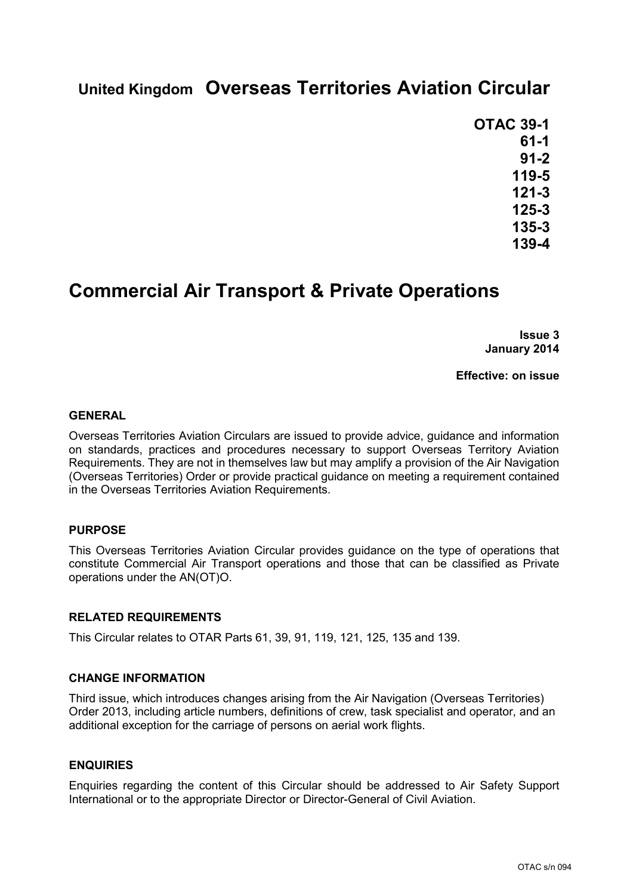# **United Kingdom Overseas Territories Aviation Circular**

**OTAC 39-1 61-1 91-2 119-5 121-3 125-3 135-3 139-4**

# **Commercial Air Transport & Private Operations**

**Issue 3 January 2014**

**Effective: on issue**

#### **GENERAL**

Overseas Territories Aviation Circulars are issued to provide advice, guidance and information on standards, practices and procedures necessary to support Overseas Territory Aviation Requirements. They are not in themselves law but may amplify a provision of the Air Navigation (Overseas Territories) Order or provide practical guidance on meeting a requirement contained in the Overseas Territories Aviation Requirements.

### **PURPOSE**

This Overseas Territories Aviation Circular provides guidance on the type of operations that constitute Commercial Air Transport operations and those that can be classified as Private operations under the AN(OT)O.

### **RELATED REQUIREMENTS**

This Circular relates to OTAR Parts 61, 39, 91, 119, 121, 125, 135 and 139.

### **CHANGE INFORMATION**

Third issue, which introduces changes arising from the Air Navigation (Overseas Territories) Order 2013, including article numbers, definitions of crew, task specialist and operator, and an additional exception for the carriage of persons on aerial work flights.

### **ENQUIRIES**

Enquiries regarding the content of this Circular should be addressed to Air Safety Support International or to the appropriate Director or Director-General of Civil Aviation.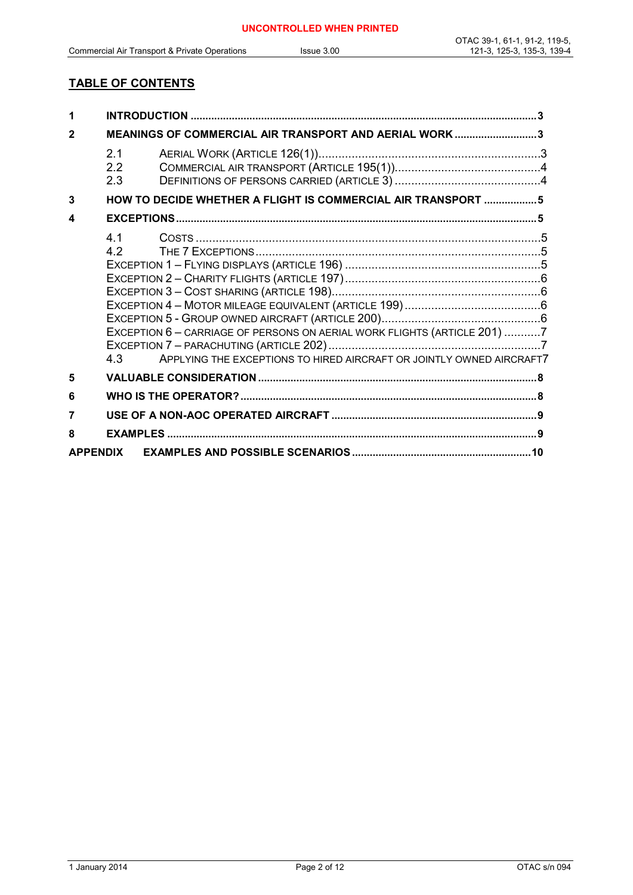# **TABLE OF CONTENTS**

| $\mathbf{2}$    | MEANINGS OF COMMERCIAL AIR TRANSPORT AND AERIAL WORK 3 |                                                                                                                                                  |  |
|-----------------|--------------------------------------------------------|--------------------------------------------------------------------------------------------------------------------------------------------------|--|
|                 | 2.1<br>2.2<br>2.3                                      |                                                                                                                                                  |  |
| 3               |                                                        | HOW TO DECIDE WHETHER A FLIGHT IS COMMERCIAL AIR TRANSPORT 5                                                                                     |  |
| 4               |                                                        |                                                                                                                                                  |  |
|                 | 4.1<br>4.2<br>4 3                                      |                                                                                                                                                  |  |
| 5               |                                                        | EXCEPTION 6 - CARRIAGE OF PERSONS ON AERIAL WORK FLIGHTS (ARTICLE 201) 7<br>APPLYING THE EXCEPTIONS TO HIRED AIRCRAFT OR JOINTLY OWNED AIRCRAFT7 |  |
| 6               |                                                        |                                                                                                                                                  |  |
|                 |                                                        |                                                                                                                                                  |  |
| 8               |                                                        |                                                                                                                                                  |  |
| <b>APPENDIX</b> |                                                        |                                                                                                                                                  |  |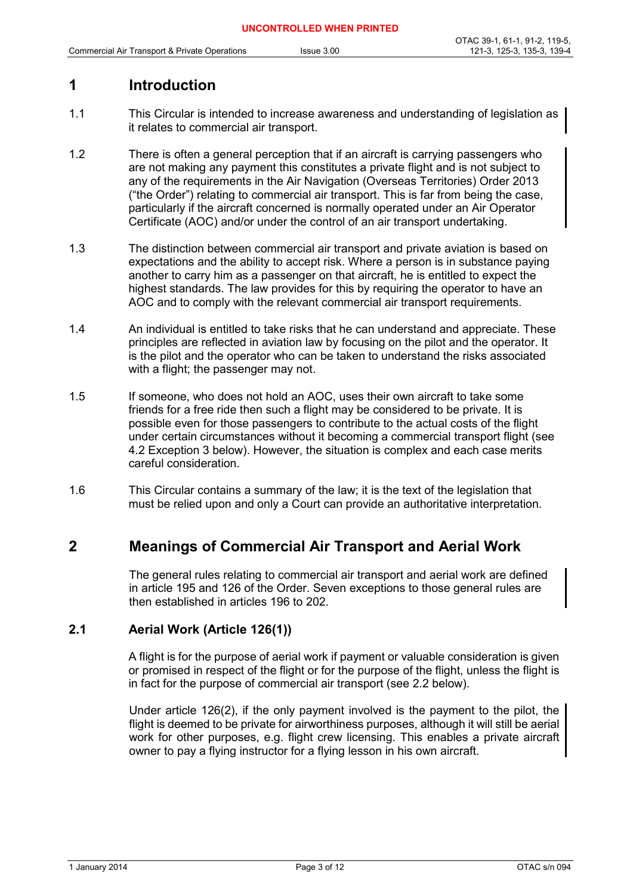# **1 Introduction**

- 1.1 This Circular is intended to increase awareness and understanding of legislation as it relates to commercial air transport.
- 1.2 There is often a general perception that if an aircraft is carrying passengers who are not making any payment this constitutes a private flight and is not subject to any of the requirements in the Air Navigation (Overseas Territories) Order 2013 ("the Order") relating to commercial air transport. This is far from being the case, particularly if the aircraft concerned is normally operated under an Air Operator Certificate (AOC) and/or under the control of an air transport undertaking.
- 1.3 The distinction between commercial air transport and private aviation is based on expectations and the ability to accept risk. Where a person is in substance paying another to carry him as a passenger on that aircraft, he is entitled to expect the highest standards. The law provides for this by requiring the operator to have an AOC and to comply with the relevant commercial air transport requirements.
- 1.4 An individual is entitled to take risks that he can understand and appreciate. These principles are reflected in aviation law by focusing on the pilot and the operator. It is the pilot and the operator who can be taken to understand the risks associated with a flight; the passenger may not.
- 1.5 If someone, who does not hold an AOC, uses their own aircraft to take some friends for a free ride then such a flight may be considered to be private. It is possible even for those passengers to contribute to the actual costs of the flight under certain circumstances without it becoming a commercial transport flight (see 4.2 Exception 3 below). However, the situation is complex and each case merits careful consideration.
- 1.6 This Circular contains a summary of the law; it is the text of the legislation that must be relied upon and only a Court can provide an authoritative interpretation.

# **2 Meanings of Commercial Air Transport and Aerial Work**

The general rules relating to commercial air transport and aerial work are defined in article 195 and 126 of the Order. Seven exceptions to those general rules are then established in articles 196 to 202.

## **2.1 Aerial Work (Article 126(1))**

A flight is for the purpose of aerial work if payment or valuable consideration is given or promised in respect of the flight or for the purpose of the flight, unless the flight is in fact for the purpose of commercial air transport (see 2.2 below).

Under article 126(2), if the only payment involved is the payment to the pilot, the flight is deemed to be private for airworthiness purposes, although it will still be aerial work for other purposes, e.g. flight crew licensing. This enables a private aircraft owner to pay a flying instructor for a flying lesson in his own aircraft.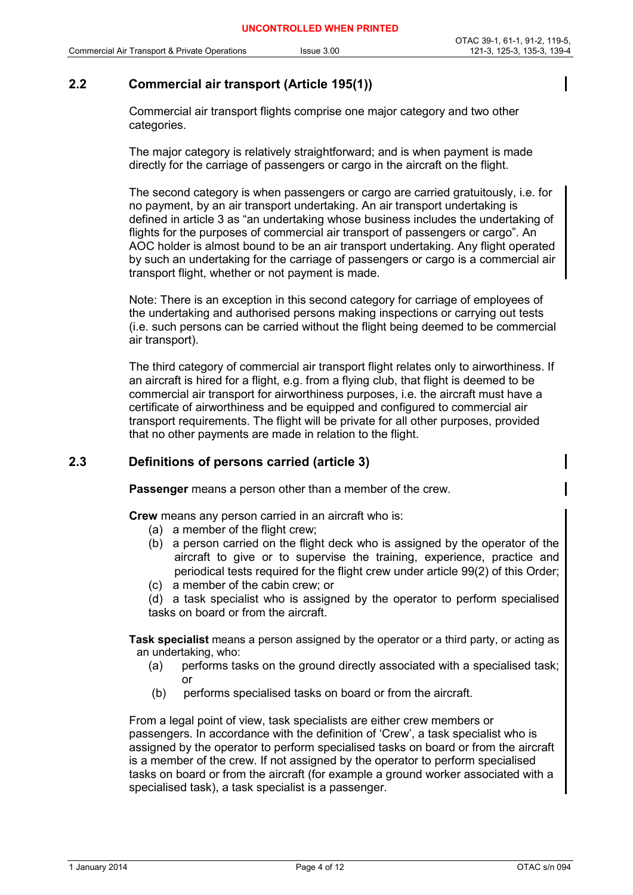# **2.2 Commercial air transport (Article 195(1))**

Commercial air transport flights comprise one major category and two other categories.

The major category is relatively straightforward; and is when payment is made directly for the carriage of passengers or cargo in the aircraft on the flight.

The second category is when passengers or cargo are carried gratuitously, i.e. for no payment, by an air transport undertaking. An air transport undertaking is defined in article 3 as "an undertaking whose business includes the undertaking of flights for the purposes of commercial air transport of passengers or cargo". An AOC holder is almost bound to be an air transport undertaking. Any flight operated by such an undertaking for the carriage of passengers or cargo is a commercial air transport flight, whether or not payment is made.

Note: There is an exception in this second category for carriage of employees of the undertaking and authorised persons making inspections or carrying out tests (i.e. such persons can be carried without the flight being deemed to be commercial air transport).

The third category of commercial air transport flight relates only to airworthiness. If an aircraft is hired for a flight, e.g. from a flying club, that flight is deemed to be commercial air transport for airworthiness purposes, i.e. the aircraft must have a certificate of airworthiness and be equipped and configured to commercial air transport requirements. The flight will be private for all other purposes, provided that no other payments are made in relation to the flight.

## **2.3 Definitions of persons carried (article 3)**

**Passenger** means a person other than a member of the crew.

**Crew** means any person carried in an aircraft who is:

- (a) a member of the flight crew;
- (b) a person carried on the flight deck who is assigned by the operator of the aircraft to give or to supervise the training, experience, practice and periodical tests required for the flight crew under article 99(2) of this Order;
- (c) a member of the cabin crew; or

(d) a task specialist who is assigned by the operator to perform specialised tasks on board or from the aircraft.

**Task specialist** means a person assigned by the operator or a third party, or acting as an undertaking, who:

- (a) performs tasks on the ground directly associated with a specialised task; or
- (b) performs specialised tasks on board or from the aircraft.

From a legal point of view, task specialists are either crew members or passengers. In accordance with the definition of 'Crew', a task specialist who is assigned by the operator to perform specialised tasks on board or from the aircraft is a member of the crew. If not assigned by the operator to perform specialised tasks on board or from the aircraft (for example a ground worker associated with a specialised task), a task specialist is a passenger.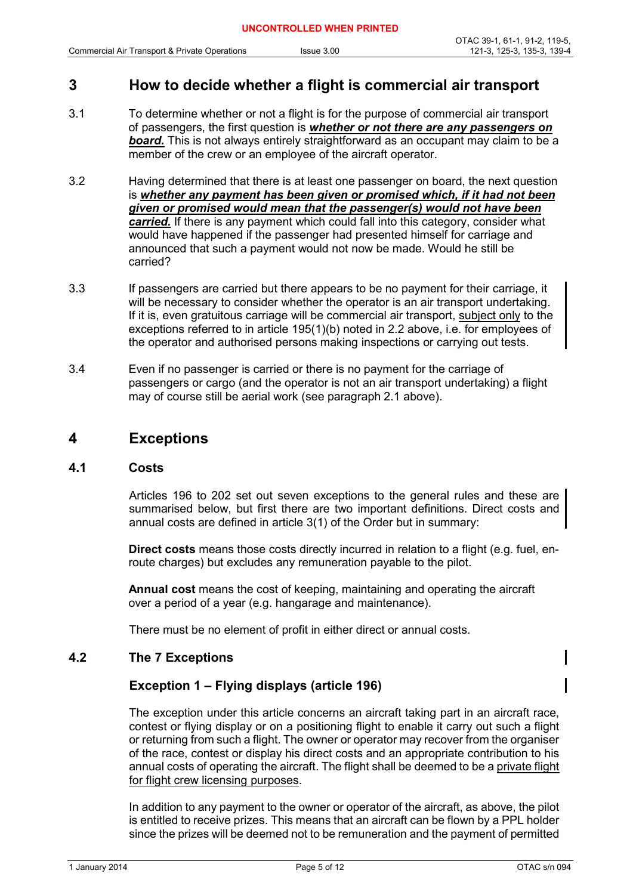## **3 How to decide whether a flight is commercial air transport**

- 3.1 To determine whether or not a flight is for the purpose of commercial air transport of passengers, the first question is *whether or not there are any passengers on board.* This is not always entirely straightforward as an occupant may claim to be a member of the crew or an employee of the aircraft operator.
- 3.2 Having determined that there is at least one passenger on board, the next question is *whether any payment has been given or promised which, if it had not been given or promised would mean that the passenger(s) would not have been carried.* If there is any payment which could fall into this category, consider what would have happened if the passenger had presented himself for carriage and announced that such a payment would not now be made. Would he still be carried?
- 3.3 If passengers are carried but there appears to be no payment for their carriage, it will be necessary to consider whether the operator is an air transport undertaking. If it is, even gratuitous carriage will be commercial air transport, subject only to the exceptions referred to in article 195(1)(b) noted in 2.2 above, i.e. for employees of the operator and authorised persons making inspections or carrying out tests.
- 3.4 Even if no passenger is carried or there is no payment for the carriage of passengers or cargo (and the operator is not an air transport undertaking) a flight may of course still be aerial work (see paragraph 2.1 above).

## **4 Exceptions**

#### **4.1 Costs**

Articles 196 to 202 set out seven exceptions to the general rules and these are summarised below, but first there are two important definitions. Direct costs and annual costs are defined in article 3(1) of the Order but in summary:

**Direct costs** means those costs directly incurred in relation to a flight (e.g. fuel, enroute charges) but excludes any remuneration payable to the pilot.

**Annual cost** means the cost of keeping, maintaining and operating the aircraft over a period of a year (e.g. hangarage and maintenance).

There must be no element of profit in either direct or annual costs.

### **4.2 The 7 Exceptions**

### **Exception 1 – Flying displays (article 196)**

The exception under this article concerns an aircraft taking part in an aircraft race, contest or flying display or on a positioning flight to enable it carry out such a flight or returning from such a flight. The owner or operator may recover from the organiser of the race, contest or display his direct costs and an appropriate contribution to his annual costs of operating the aircraft. The flight shall be deemed to be a private flight for flight crew licensing purposes.

In addition to any payment to the owner or operator of the aircraft, as above, the pilot is entitled to receive prizes. This means that an aircraft can be flown by a PPL holder since the prizes will be deemed not to be remuneration and the payment of permitted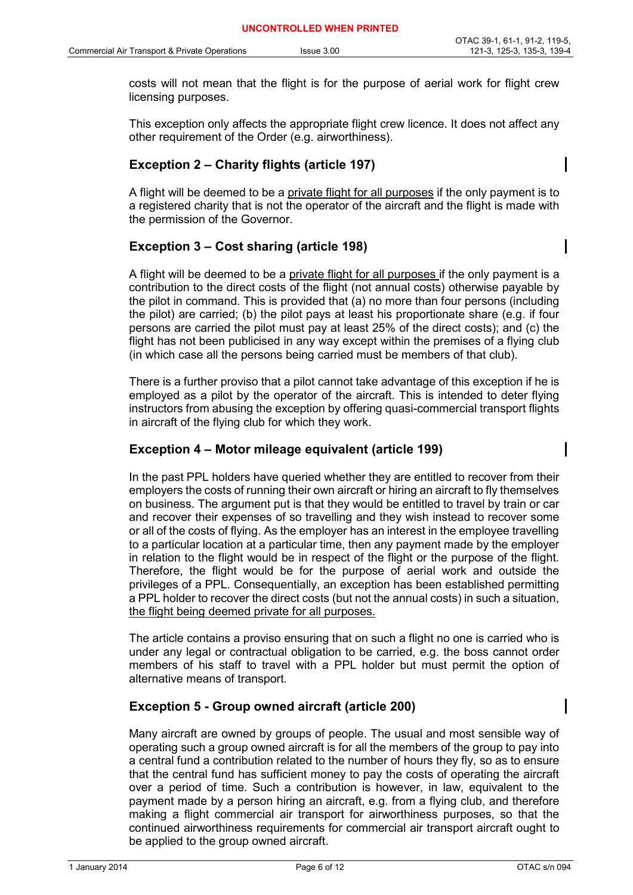costs will not mean that the flight is for the purpose of aerial work for flight crew licensing purposes.

This exception only affects the appropriate flight crew licence. It does not affect any other requirement of the Order (e.g. airworthiness).

### **Exception 2 – Charity flights (article 197)**

A flight will be deemed to be a private flight for all purposes if the only payment is to a registered charity that is not the operator of the aircraft and the flight is made with the permission of the Governor.

## **Exception 3 – Cost sharing (article 198)**

A flight will be deemed to be a private flight for all purposes if the only payment is a contribution to the direct costs of the flight (not annual costs) otherwise payable by the pilot in command. This is provided that (a) no more than four persons (including the pilot) are carried; (b) the pilot pays at least his proportionate share (e.g. if four persons are carried the pilot must pay at least 25% of the direct costs); and (c) the flight has not been publicised in any way except within the premises of a flying club (in which case all the persons being carried must be members of that club).

There is a further proviso that a pilot cannot take advantage of this exception if he is employed as a pilot by the operator of the aircraft. This is intended to deter flying instructors from abusing the exception by offering quasi-commercial transport flights in aircraft of the flying club for which they work.

### **Exception 4 – Motor mileage equivalent (article 199)**

In the past PPL holders have queried whether they are entitled to recover from their employers the costs of running their own aircraft or hiring an aircraft to fly themselves on business. The argument put is that they would be entitled to travel by train or car and recover their expenses of so travelling and they wish instead to recover some or all of the costs of flying. As the employer has an interest in the employee travelling to a particular location at a particular time, then any payment made by the employer in relation to the flight would be in respect of the flight or the purpose of the flight. Therefore, the flight would be for the purpose of aerial work and outside the privileges of a PPL. Consequentially, an exception has been established permitting a PPL holder to recover the direct costs (but not the annual costs) in such a situation, the flight being deemed private for all purposes.

The article contains a proviso ensuring that on such a flight no one is carried who is under any legal or contractual obligation to be carried, e.g. the boss cannot order members of his staff to travel with a PPL holder but must permit the option of alternative means of transport.

### **Exception 5 - Group owned aircraft (article 200)**

Many aircraft are owned by groups of people. The usual and most sensible way of operating such a group owned aircraft is for all the members of the group to pay into a central fund a contribution related to the number of hours they fly, so as to ensure that the central fund has sufficient money to pay the costs of operating the aircraft over a period of time. Such a contribution is however, in law, equivalent to the payment made by a person hiring an aircraft, e.g. from a flying club, and therefore making a flight commercial air transport for airworthiness purposes, so that the continued airworthiness requirements for commercial air transport aircraft ought to be applied to the group owned aircraft.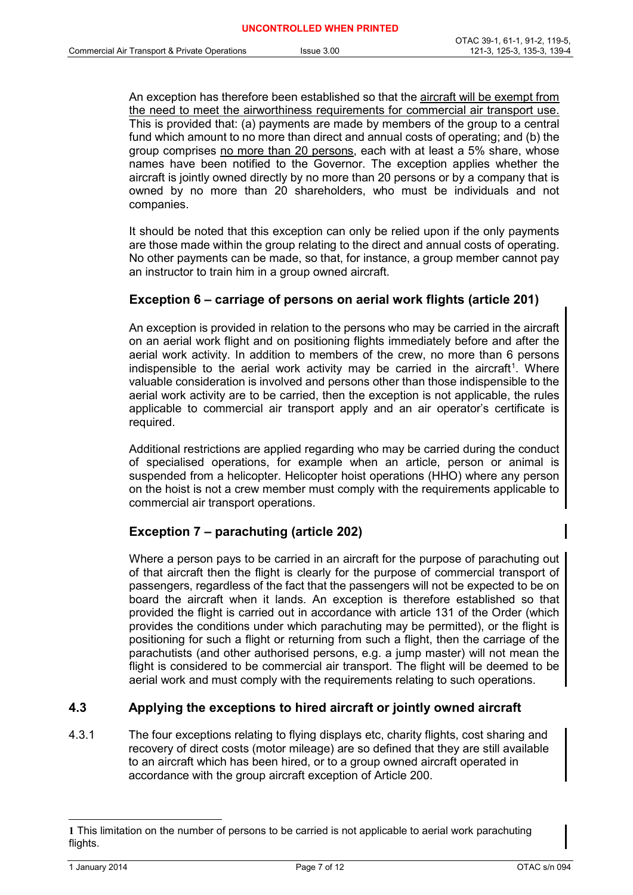An exception has therefore been established so that the aircraft will be exempt from the need to meet the airworthiness requirements for commercial air transport use. This is provided that: (a) payments are made by members of the group to a central fund which amount to no more than direct and annual costs of operating; and (b) the group comprises no more than 20 persons, each with at least a 5% share, whose names have been notified to the Governor. The exception applies whether the aircraft is jointly owned directly by no more than 20 persons or by a company that is owned by no more than 20 shareholders, who must be individuals and not companies.

It should be noted that this exception can only be relied upon if the only payments are those made within the group relating to the direct and annual costs of operating. No other payments can be made, so that, for instance, a group member cannot pay an instructor to train him in a group owned aircraft.

### **Exception 6 – carriage of persons on aerial work flights (article 201)**

An exception is provided in relation to the persons who may be carried in the aircraft on an aerial work flight and on positioning flights immediately before and after the aerial work activity. In addition to members of the crew, no more than 6 persons indispensible to the aerial work activity may be carried in the aircraft<sup>[1](#page-6-0)</sup>. Where valuable consideration is involved and persons other than those indispensible to the aerial work activity are to be carried, then the exception is not applicable, the rules applicable to commercial air transport apply and an air operator's certificate is required.

Additional restrictions are applied regarding who may be carried during the conduct of specialised operations, for example when an article, person or animal is suspended from a helicopter. Helicopter hoist operations (HHO) where any person on the hoist is not a crew member must comply with the requirements applicable to commercial air transport operations.

## **Exception 7 – parachuting (article 202)**

Where a person pays to be carried in an aircraft for the purpose of parachuting out of that aircraft then the flight is clearly for the purpose of commercial transport of passengers, regardless of the fact that the passengers will not be expected to be on board the aircraft when it lands. An exception is therefore established so that provided the flight is carried out in accordance with article 131 of the Order (which provides the conditions under which parachuting may be permitted), or the flight is positioning for such a flight or returning from such a flight, then the carriage of the parachutists (and other authorised persons, e.g. a jump master) will not mean the flight is considered to be commercial air transport. The flight will be deemed to be aerial work and must comply with the requirements relating to such operations.

## **4.3 Applying the exceptions to hired aircraft or jointly owned aircraft**

4.3.1 The four exceptions relating to flying displays etc, charity flights, cost sharing and recovery of direct costs (motor mileage) are so defined that they are still available to an aircraft which has been hired, or to a group owned aircraft operated in accordance with the group aircraft exception of Article 200.

<span id="page-6-0"></span> $\overline{a}$ **1** This limitation on the number of persons to be carried is not applicable to aerial work parachuting flights.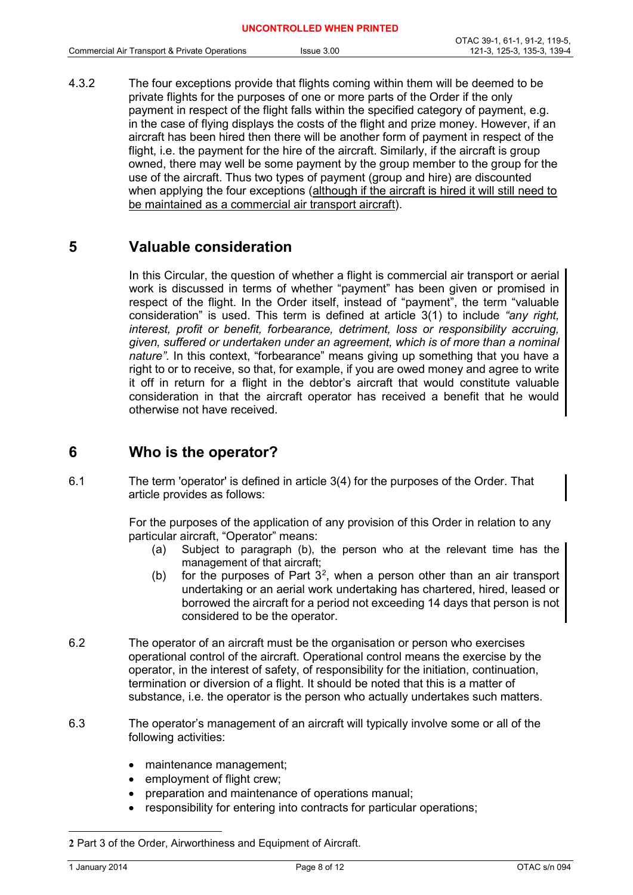4.3.2 The four exceptions provide that flights coming within them will be deemed to be private flights for the purposes of one or more parts of the Order if the only payment in respect of the flight falls within the specified category of payment, e.g. in the case of flying displays the costs of the flight and prize money. However, if an aircraft has been hired then there will be another form of payment in respect of the flight, i.e. the payment for the hire of the aircraft. Similarly, if the aircraft is group owned, there may well be some payment by the group member to the group for the use of the aircraft. Thus two types of payment (group and hire) are discounted when applying the four exceptions (although if the aircraft is hired it will still need to be maintained as a commercial air transport aircraft).

# **5 Valuable consideration**

In this Circular, the question of whether a flight is commercial air transport or aerial work is discussed in terms of whether "payment" has been given or promised in respect of the flight. In the Order itself, instead of "payment", the term "valuable consideration" is used. This term is defined at article 3(1) to include *"any right, interest, profit or benefit, forbearance, detriment, loss or responsibility accruing, given, suffered or undertaken under an agreement, which is of more than a nominal nature"*. In this context, "forbearance" means giving up something that you have a right to or to receive, so that, for example, if you are owed money and agree to write it off in return for a flight in the debtor's aircraft that would constitute valuable consideration in that the aircraft operator has received a benefit that he would otherwise not have received.

# **6 Who is the operator?**

6.1 The term 'operator' is defined in article 3(4) for the purposes of the Order. That article provides as follows:

> For the purposes of the application of any provision of this Order in relation to any particular aircraft, "Operator" means:

- (a) Subject to paragraph (b), the person who at the relevant time has the management of that aircraft;
- (b) for the purposes of Part  $3^2$  $3^2$ , when a person other than an air transport undertaking or an aerial work undertaking has chartered, hired, leased or borrowed the aircraft for a period not exceeding 14 days that person is not considered to be the operator.
- 6.2 The operator of an aircraft must be the organisation or person who exercises operational control of the aircraft. Operational control means the exercise by the operator, in the interest of safety, of responsibility for the initiation, continuation, termination or diversion of a flight. It should be noted that this is a matter of substance, i.e. the operator is the person who actually undertakes such matters.
- 6.3 The operator's management of an aircraft will typically involve some or all of the following activities:
	- maintenance management;
	- employment of flight crew;
	- preparation and maintenance of operations manual;
	- responsibility for entering into contracts for particular operations;

<span id="page-7-0"></span> $\overline{a}$ **2** Part 3 of the Order, Airworthiness and Equipment of Aircraft.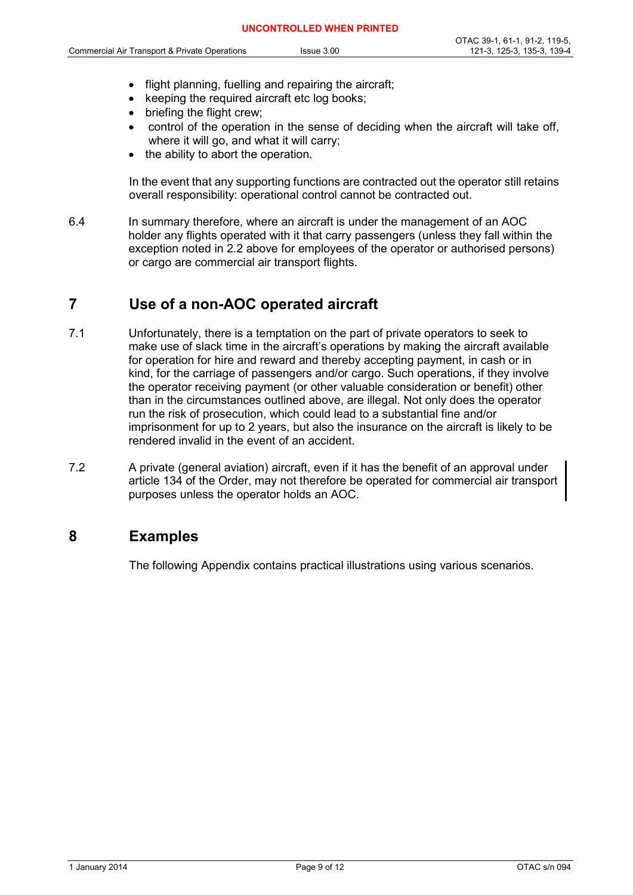- flight planning, fuelling and repairing the aircraft;
- keeping the required aircraft etc log books;
- briefing the flight crew:
- control of the operation in the sense of deciding when the aircraft will take off, where it will go, and what it will carry;
- the ability to abort the operation.

In the event that any supporting functions are contracted out the operator still retains overall responsibility: operational control cannot be contracted out.

6.4 In summary therefore, where an aircraft is under the management of an AOC holder any flights operated with it that carry passengers (unless they fall within the exception noted in 2.2 above for employees of the operator or authorised persons) or cargo are commercial air transport flights.

# **7 Use of a non-AOC operated aircraft**

- 7.1 Unfortunately, there is a temptation on the part of private operators to seek to make use of slack time in the aircraft's operations by making the aircraft available for operation for hire and reward and thereby accepting payment, in cash or in kind, for the carriage of passengers and/or cargo. Such operations, if they involve the operator receiving payment (or other valuable consideration or benefit) other than in the circumstances outlined above, are illegal. Not only does the operator run the risk of prosecution, which could lead to a substantial fine and/or imprisonment for up to 2 years, but also the insurance on the aircraft is likely to be rendered invalid in the event of an accident.
- 7.2 A private (general aviation) aircraft, even if it has the benefit of an approval under article 134 of the Order, may not therefore be operated for commercial air transport purposes unless the operator holds an AOC.

# **8 Examples**

The following Appendix contains practical illustrations using various scenarios.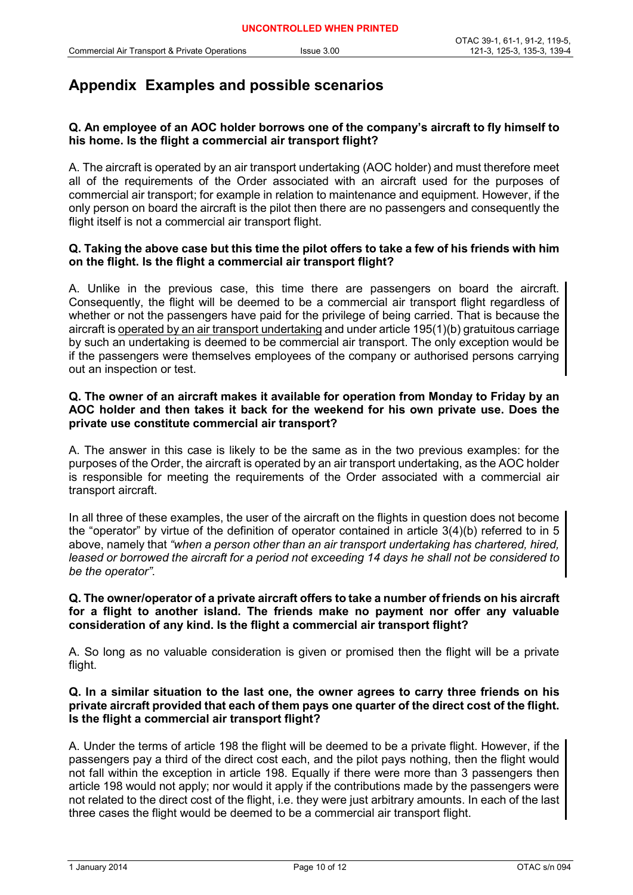# **Appendix Examples and possible scenarios**

#### **Q. An employee of an AOC holder borrows one of the company's aircraft to fly himself to his home. Is the flight a commercial air transport flight?**

A. The aircraft is operated by an air transport undertaking (AOC holder) and must therefore meet all of the requirements of the Order associated with an aircraft used for the purposes of commercial air transport; for example in relation to maintenance and equipment. However, if the only person on board the aircraft is the pilot then there are no passengers and consequently the flight itself is not a commercial air transport flight.

#### **Q. Taking the above case but this time the pilot offers to take a few of his friends with him on the flight. Is the flight a commercial air transport flight?**

A. Unlike in the previous case, this time there are passengers on board the aircraft. Consequently, the flight will be deemed to be a commercial air transport flight regardless of whether or not the passengers have paid for the privilege of being carried. That is because the aircraft is operated by an air transport undertaking and under article 195(1)(b) gratuitous carriage by such an undertaking is deemed to be commercial air transport. The only exception would be if the passengers were themselves employees of the company or authorised persons carrying out an inspection or test.

#### **Q. The owner of an aircraft makes it available for operation from Monday to Friday by an AOC holder and then takes it back for the weekend for his own private use. Does the private use constitute commercial air transport?**

A. The answer in this case is likely to be the same as in the two previous examples: for the purposes of the Order, the aircraft is operated by an air transport undertaking, as the AOC holder is responsible for meeting the requirements of the Order associated with a commercial air transport aircraft.

In all three of these examples, the user of the aircraft on the flights in question does not become the "operator" by virtue of the definition of operator contained in article 3(4)(b) referred to in 5 above, namely that *"when a person other than an air transport undertaking has chartered, hired, leased or borrowed the aircraft for a period not exceeding 14 days he shall not be considered to be the operator"*.

#### **Q. The owner/operator of a private aircraft offers to take a number of friends on his aircraft for a flight to another island. The friends make no payment nor offer any valuable consideration of any kind. Is the flight a commercial air transport flight?**

A. So long as no valuable consideration is given or promised then the flight will be a private flight.

#### **Q. In a similar situation to the last one, the owner agrees to carry three friends on his private aircraft provided that each of them pays one quarter of the direct cost of the flight. Is the flight a commercial air transport flight?**

A. Under the terms of article 198 the flight will be deemed to be a private flight. However, if the passengers pay a third of the direct cost each, and the pilot pays nothing, then the flight would not fall within the exception in article 198. Equally if there were more than 3 passengers then article 198 would not apply; nor would it apply if the contributions made by the passengers were not related to the direct cost of the flight, i.e. they were just arbitrary amounts. In each of the last three cases the flight would be deemed to be a commercial air transport flight.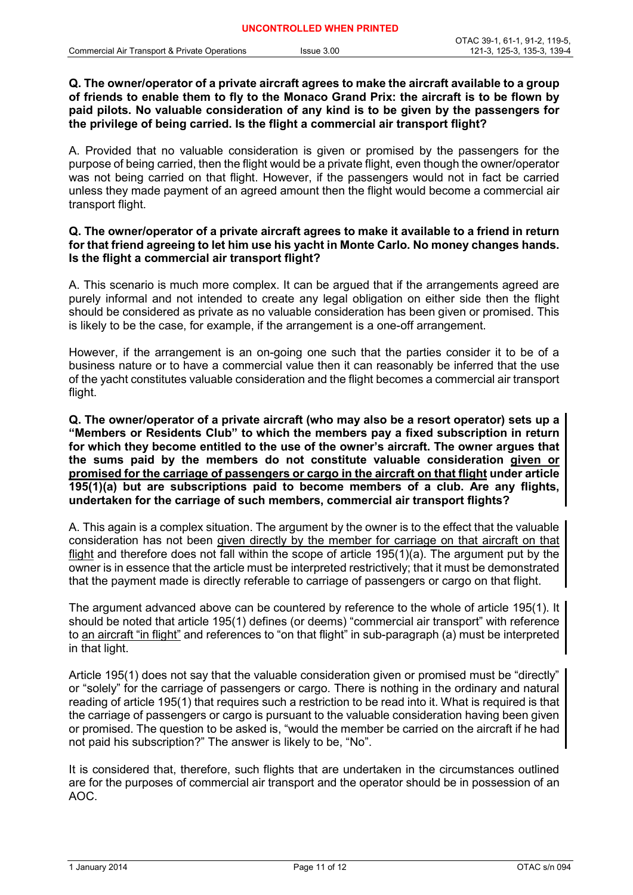#### **Q. The owner/operator of a private aircraft agrees to make the aircraft available to a group of friends to enable them to fly to the Monaco Grand Prix: the aircraft is to be flown by paid pilots. No valuable consideration of any kind is to be given by the passengers for the privilege of being carried. Is the flight a commercial air transport flight?**

A. Provided that no valuable consideration is given or promised by the passengers for the purpose of being carried, then the flight would be a private flight, even though the owner/operator was not being carried on that flight. However, if the passengers would not in fact be carried unless they made payment of an agreed amount then the flight would become a commercial air transport flight.

#### **Q. The owner/operator of a private aircraft agrees to make it available to a friend in return for that friend agreeing to let him use his yacht in Monte Carlo. No money changes hands. Is the flight a commercial air transport flight?**

A. This scenario is much more complex. It can be argued that if the arrangements agreed are purely informal and not intended to create any legal obligation on either side then the flight should be considered as private as no valuable consideration has been given or promised. This is likely to be the case, for example, if the arrangement is a one-off arrangement.

However, if the arrangement is an on-going one such that the parties consider it to be of a business nature or to have a commercial value then it can reasonably be inferred that the use of the yacht constitutes valuable consideration and the flight becomes a commercial air transport flight.

**Q. The owner/operator of a private aircraft (who may also be a resort operator) sets up a "Members or Residents Club" to which the members pay a fixed subscription in return for which they become entitled to the use of the owner's aircraft. The owner argues that the sums paid by the members do not constitute valuable consideration given or promised for the carriage of passengers or cargo in the aircraft on that flight under article 195(1)(a) but are subscriptions paid to become members of a club. Are any flights, undertaken for the carriage of such members, commercial air transport flights?**

A. This again is a complex situation. The argument by the owner is to the effect that the valuable consideration has not been given directly by the member for carriage on that aircraft on that flight and therefore does not fall within the scope of article 195(1)(a). The argument put by the owner is in essence that the article must be interpreted restrictively; that it must be demonstrated that the payment made is directly referable to carriage of passengers or cargo on that flight.

The argument advanced above can be countered by reference to the whole of article 195(1). It should be noted that article 195(1) defines (or deems) "commercial air transport" with reference to an aircraft "in flight" and references to "on that flight" in sub-paragraph (a) must be interpreted in that light.

Article 195(1) does not say that the valuable consideration given or promised must be "directly" or "solely" for the carriage of passengers or cargo. There is nothing in the ordinary and natural reading of article 195(1) that requires such a restriction to be read into it. What is required is that the carriage of passengers or cargo is pursuant to the valuable consideration having been given or promised. The question to be asked is, "would the member be carried on the aircraft if he had not paid his subscription?" The answer is likely to be, "No".

It is considered that, therefore, such flights that are undertaken in the circumstances outlined are for the purposes of commercial air transport and the operator should be in possession of an AOC.